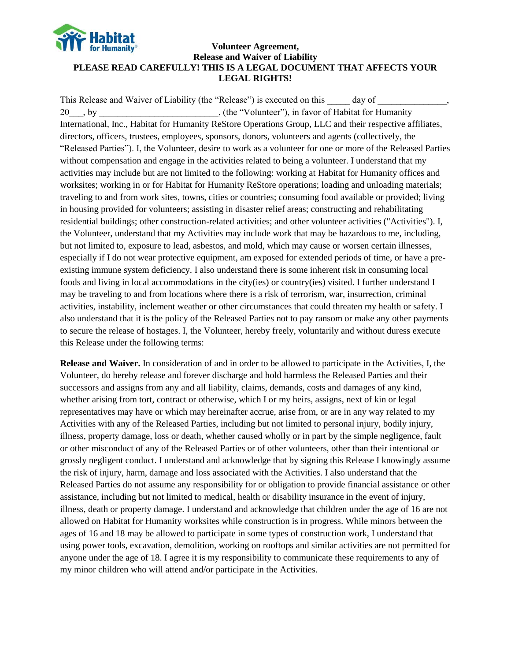

### **Volunteer Agreement, Release and Waiver of Liability PLEASE READ CAREFULLY! THIS IS A LEGAL DOCUMENT THAT AFFECTS YOUR LEGAL RIGHTS!**

This Release and Waiver of Liability (the "Release") is executed on this \_\_\_\_\_ day of 20 by the "Volunteer"), in favor of Habitat for Humanity International, Inc., Habitat for Humanity ReStore Operations Group, LLC and their respective affiliates, directors, officers, trustees, employees, sponsors, donors, volunteers and agents (collectively, the "Released Parties"). I, the Volunteer, desire to work as a volunteer for one or more of the Released Parties without compensation and engage in the activities related to being a volunteer. I understand that my activities may include but are not limited to the following: working at Habitat for Humanity offices and worksites; working in or for Habitat for Humanity ReStore operations; loading and unloading materials; traveling to and from work sites, towns, cities or countries; consuming food available or provided; living in housing provided for volunteers; assisting in disaster relief areas; constructing and rehabilitating residential buildings; other construction-related activities; and other volunteer activities ("Activities"). I, the Volunteer, understand that my Activities may include work that may be hazardous to me, including, but not limited to, exposure to lead, asbestos, and mold, which may cause or worsen certain illnesses, especially if I do not wear protective equipment, am exposed for extended periods of time, or have a preexisting immune system deficiency. I also understand there is some inherent risk in consuming local foods and living in local accommodations in the city(ies) or country(ies) visited. I further understand I may be traveling to and from locations where there is a risk of terrorism, war, insurrection, criminal activities, instability, inclement weather or other circumstances that could threaten my health or safety. I also understand that it is the policy of the Released Parties not to pay ransom or make any other payments to secure the release of hostages. I, the Volunteer, hereby freely, voluntarily and without duress execute this Release under the following terms:

**Release and Waiver.** In consideration of and in order to be allowed to participate in the Activities, I, the Volunteer, do hereby release and forever discharge and hold harmless the Released Parties and their successors and assigns from any and all liability, claims, demands, costs and damages of any kind, whether arising from tort, contract or otherwise, which I or my heirs, assigns, next of kin or legal representatives may have or which may hereinafter accrue, arise from, or are in any way related to my Activities with any of the Released Parties, including but not limited to personal injury, bodily injury, illness, property damage, loss or death, whether caused wholly or in part by the simple negligence, fault or other misconduct of any of the Released Parties or of other volunteers, other than their intentional or grossly negligent conduct. I understand and acknowledge that by signing this Release I knowingly assume the risk of injury, harm, damage and loss associated with the Activities. I also understand that the Released Parties do not assume any responsibility for or obligation to provide financial assistance or other assistance, including but not limited to medical, health or disability insurance in the event of injury, illness, death or property damage. I understand and acknowledge that children under the age of 16 are not allowed on Habitat for Humanity worksites while construction is in progress. While minors between the ages of 16 and 18 may be allowed to participate in some types of construction work, I understand that using power tools, excavation, demolition, working on rooftops and similar activities are not permitted for anyone under the age of 18. I agree it is my responsibility to communicate these requirements to any of my minor children who will attend and/or participate in the Activities.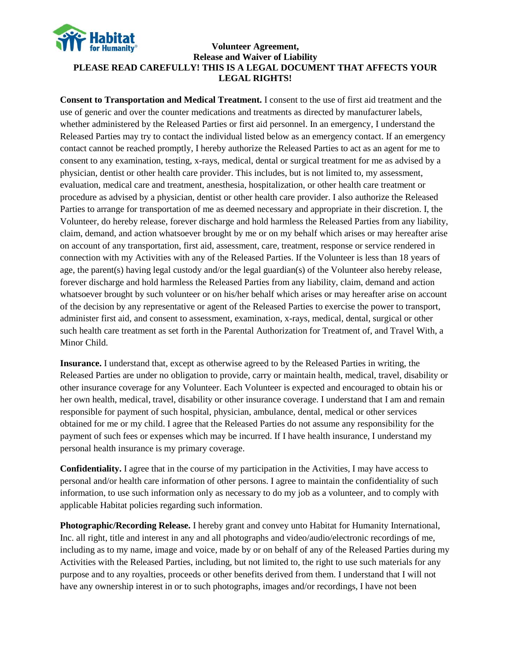

#### **Volunteer Agreement, Release and Waiver of Liability PLEASE READ CAREFULLY! THIS IS A LEGAL DOCUMENT THAT AFFECTS YOUR LEGAL RIGHTS!**

**Consent to Transportation and Medical Treatment.** I consent to the use of first aid treatment and the use of generic and over the counter medications and treatments as directed by manufacturer labels, whether administered by the Released Parties or first aid personnel. In an emergency, I understand the Released Parties may try to contact the individual listed below as an emergency contact. If an emergency contact cannot be reached promptly, I hereby authorize the Released Parties to act as an agent for me to consent to any examination, testing, x-rays, medical, dental or surgical treatment for me as advised by a physician, dentist or other health care provider. This includes, but is not limited to, my assessment, evaluation, medical care and treatment, anesthesia, hospitalization, or other health care treatment or procedure as advised by a physician, dentist or other health care provider. I also authorize the Released Parties to arrange for transportation of me as deemed necessary and appropriate in their discretion. I, the Volunteer, do hereby release, forever discharge and hold harmless the Released Parties from any liability, claim, demand, and action whatsoever brought by me or on my behalf which arises or may hereafter arise on account of any transportation, first aid, assessment, care, treatment, response or service rendered in connection with my Activities with any of the Released Parties. If the Volunteer is less than 18 years of age, the parent(s) having legal custody and/or the legal guardian(s) of the Volunteer also hereby release, forever discharge and hold harmless the Released Parties from any liability, claim, demand and action whatsoever brought by such volunteer or on his/her behalf which arises or may hereafter arise on account of the decision by any representative or agent of the Released Parties to exercise the power to transport, administer first aid, and consent to assessment, examination, x-rays, medical, dental, surgical or other such health care treatment as set forth in the Parental Authorization for Treatment of, and Travel With, a Minor Child.

**Insurance.** I understand that, except as otherwise agreed to by the Released Parties in writing, the Released Parties are under no obligation to provide, carry or maintain health, medical, travel, disability or other insurance coverage for any Volunteer. Each Volunteer is expected and encouraged to obtain his or her own health, medical, travel, disability or other insurance coverage. I understand that I am and remain responsible for payment of such hospital, physician, ambulance, dental, medical or other services obtained for me or my child. I agree that the Released Parties do not assume any responsibility for the payment of such fees or expenses which may be incurred. If I have health insurance, I understand my personal health insurance is my primary coverage.

**Confidentiality.** I agree that in the course of my participation in the Activities, I may have access to personal and/or health care information of other persons. I agree to maintain the confidentiality of such information, to use such information only as necessary to do my job as a volunteer, and to comply with applicable Habitat policies regarding such information.

**Photographic/Recording Release.** I hereby grant and convey unto Habitat for Humanity International, Inc. all right, title and interest in any and all photographs and video/audio/electronic recordings of me, including as to my name, image and voice, made by or on behalf of any of the Released Parties during my Activities with the Released Parties, including, but not limited to, the right to use such materials for any purpose and to any royalties, proceeds or other benefits derived from them. I understand that I will not have any ownership interest in or to such photographs, images and/or recordings, I have not been